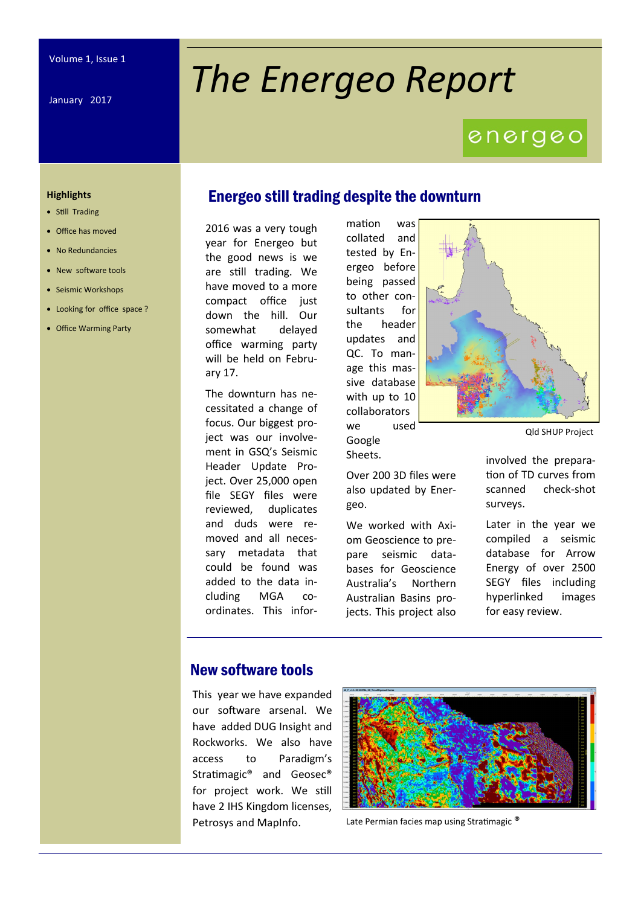January 2017

# *The Energeo Report*

## energeo

#### **Highlights**

- Still Trading
- Office has moved
- No Redundancies
- New software tools
- Seismic Workshops
- Looking for office space ?
- Office Warming Party

#### Energeo still trading despite the downturn

2016 was a very tough year for Energeo but the good news is we are still trading. We have moved to a more compact office just down the hill. Our somewhat delayed office warming party will be held on February 17.

The downturn has necessitated a change of focus. Our biggest project was our involvement in GSQ's Seismic Header Update Project. Over 25,000 open file SEGY files were reviewed, duplicates and duds were removed and all necessary metadata that could be found was added to the data including MGA coordinates. This information was collated and tested by Energeo before being passed to other consultants for the header updates and QC. To manage this massive database with up to 10 collaborators we used Google Sheets.

Over 200 3D files were also updated by Ener-

We worked with Axiom Geoscience to prepare seismic databases for Geoscience Australia's Northern Australian Basins projects. This project also

geo.

Qld SHUP Project

involved the preparation of TD curves from scanned check-shot surveys.

Later in the year we compiled a seismic database for Arrow Energy of over 2500 SEGY files including hyperlinked images for easy review.

#### New software tools

This year we have expanded our software arsenal. We have added DUG Insight and Rockworks. We also have access to Paradigm's Stratimagic® and Geosec® for project work. We still have 2 IHS Kingdom licenses, Petrosys and MapInfo.



Late Permian facies map using Stratimagic<sup>®</sup>